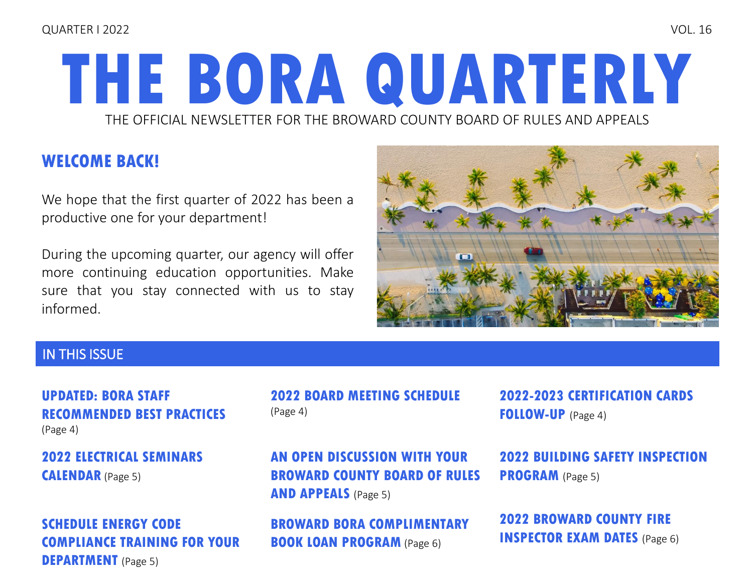#### QUARTER I 2022 VOL. 16

# **THE BORA QUARTERLY** THE OFFICIAL NEWSLETTER FOR THE BROWARD COUNTY BOARD OF RULES AND APPEALS

### **WELCOME BACK!**

We hope that the first quarter of 2022 has been a productive one for your department!

During the upcoming quarter, our agency will offer more continuing education opportunities. Make sure that you stay connected with us to stay informed.



### IN THIS ISSUE

#### **UPDATED: BORA STAFF [RECOMMENDED BEST PRACTICES](#page-3-0)**  (Page 4)

**[2022 ELECTRICAL SEMINARS](#page-4-0)  CALENDAR** (Page 5)

### **SCHEDULE ENERGY CODE [COMPLIANCE TRAINING FOR YOUR](#page-4-0)  DEPARTMENT** (Page 5)

**[2022 BOARD MEETING SCHEDULE](#page-3-0)**  (Page 4)

**AN OPEN DISCUSSION WITH YOUR [BROWARD COUNTY BOARD OF RULES](#page-4-0)  AND APPEALS** (Page 5)

**[BROWARD BORA COMPLIMENTARY](#page-5-0)  BOOK LOAN PROGRAM** (Page 6)

**[2022-2023 CERTIFICATION CARDS](#page-3-0)  FOLLOW-UP** (Page 4)

**[2022 BUILDING SAFETY INSPECTION](#page-4-0)  PROGRAM** (Page 5)

**[2022 BROWARD COUNTY FIRE](#page-5-0)  INSPECTOR EXAM DATES** (Page 6)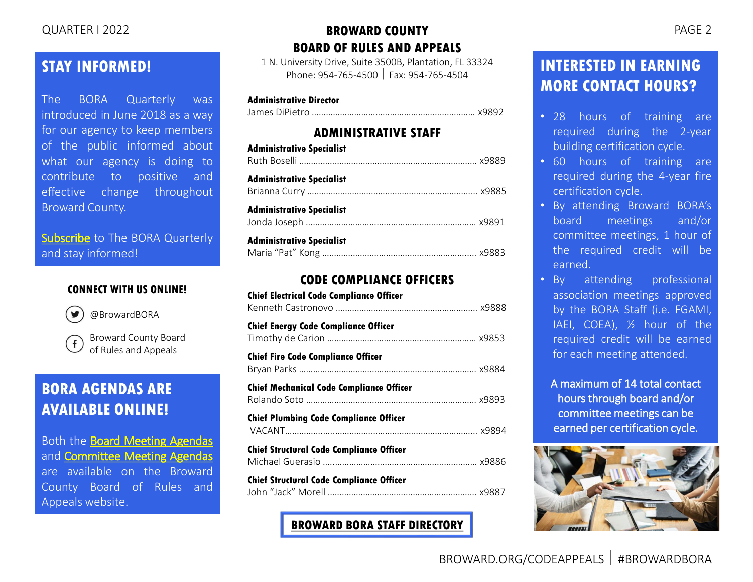### **STAY INFORMED!**

The BORA Quarterly was introduced in June 2018 as a way for our agency to keep members of the public informed about what our agency is doing to contribute to positive and effective change throughout Broward County.

[Subscribe](mailto:rulesboard@broward.org) to The BORA Quarterly and stay informed!

#### **CONNECT WITH US ONLINE!**



@BrowardBORA

Broward County Board  $\mathbf{f}$ of Rules and Appeals

### **BORA AGENDAS ARE AVAILABLE ONLINE!**

Both the Board Meeting [Agendas](https://www.broward.org/CodeAppeals/Pages/BoardMeetingAgendas.aspx) and **[Committee](https://www.broward.org/CodeAppeals/Pages/CommitteeMeetingAgendas.aspx) Meeting Agendas** are available on the Broward County Board of Rules and Appeals website.

### QUARTER I 2022 PAGE 2 **BROWARD COUNTY BOARD OF RULES AND APPEALS**

1 N. University Drive, Suite 3500B, Plantation, FL 33324 Phone: 954-765-4500 Fax: 954-765-4504

#### **Administrative Director**

James DiPietro …………………………………………………………… x9892

#### **ADMINISTRATIVE STAFF**

| <b>Administrative Specialist</b> |  |
|----------------------------------|--|
| Administrative Specialist        |  |
| <b>Administrative Specialist</b> |  |
| <b>Administrative Specialist</b> |  |

#### **CODE COMPLIANCE OFFICERS**

| <b>Chief Electrical Code Compliance Officer</b> |  |
|-------------------------------------------------|--|
| <b>Chief Energy Code Compliance Officer</b>     |  |
| <b>Chief Fire Code Compliance Officer</b>       |  |
| <b>Chief Mechanical Code Compliance Officer</b> |  |
| Chief Plumbing Code Compliance Officer          |  |
| <b>Chief Structural Code Compliance Officer</b> |  |
| <b>Chief Structural Code Compliance Officer</b> |  |

**[BROWARD BORA STAFF DIRECTORY](https://www.broward.org/CodeAppeals/Pages/staffContacts.aspx)**

### **INTERESTED IN EARNING MORE CONTACT HOURS?**

- 28 hours of training are required during the 2-year building certification cycle.
- 60 hours of training are required during the 4-year fire certification cycle.
- By attending Broward BORA's board meetings and/or committee meetings, 1 hour of the required credit will be earned.
- By attending professional association meetings approved by the BORA Staff (i.e. FGAMI, IAEI, COEA), ½ hour of the required credit will be earned for each meeting attended.

A maximum of 14 total contact hours through board and/or committee meetings can be earned per certification cycle.

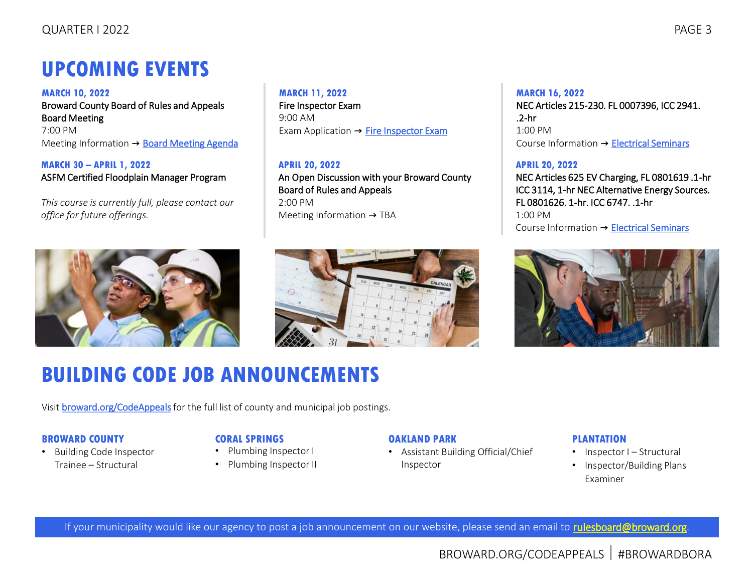### **UPCOMING EVENTS**

**MARCH 10, 2022** Broward County Board of Rules and Appeals Board Meeting 7:00 PM Meeting Information → [Board Meeting Agenda](https://www.broward.org/CodeAppeals/Pages/BoardMeetingAgendas.aspx)

**MARCH 30 – APRIL 1, 2022** ASFM Certified Floodplain Manager Program

*This course is currently full, please contact our office for future offerings.*





Exam Application → [Fire Inspector Exam](https://www.broward.org/CodeAppeals/Documents/2022%20Fire%20Inspector%20Exam%20Application%20-%20FILLABLE.pdf)

An Open Discussion with your Broward County

**MARCH 11, 2022** Fire Inspector Exam

**APRIL 20, 2022**

Board of Rules and Appeals

Meeting Information → TBA

9:00 AM

2:00 PM

## **BUILDING CODE JOB ANNOUNCEMENTS**

Visit **broward.org/CodeAppeals** for the full list of county and municipal job postings.

#### **BROWARD COUNTY**

• Building Code Inspector Trainee – Structural

#### **CORAL SPRINGS**

- Plumbing Inspector I
- Plumbing Inspector II

#### **OAKLAND PARK**

• Assistant Building Official/Chief Inspector

#### **PLANTATION**

- Inspector I Structural
- Inspector/Building Plans Examiner

If your municipality would like our agency to post a job announcement on our website, please send an email to [rulesboard@broward.org](mailto:rulesboard@broward.org).

### **MARCH 16, 2022**

NEC Articles 215-230. FL 0007396, ICC 2941. .2-hr 1:00 PM Course Information → [Electrical Seminars](https://www.broward.org/CodeAppeals/Documents/2022%20CALENDAR%20OF%20ELECTRICAL%20SEMINARS.pdf)

#### **APRIL 20, 2022**

NEC Articles 625 EV Charging, FL 0801619 .1-hr ICC 3114, 1-hr NEC Alternative Energy Sources. FL 0801626. 1-hr. ICC 6747. .1-hr 1:00 PM Course Information → [Electrical Seminars](https://www.broward.org/CodeAppeals/Documents/2022%20CALENDAR%20OF%20ELECTRICAL%20SEMINARS.pdf)

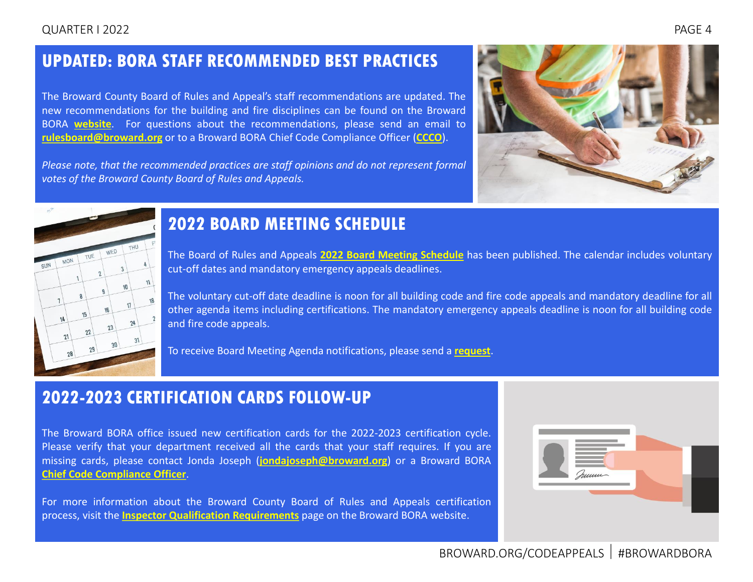#### <span id="page-3-0"></span>QUARTER I 2022 PAGE 4

### **UPDATED: BORA STAFF RECOMMENDED BEST PRACTICES**

The Broward County Board of Rules and Appeal's staff recommendations are updated. The new recommendations for the building and fire disciplines can be found on the Broward BORA **[website](https://www.broward.org/CodeAppeals/Pages/Recommended%20Best%20Practices.aspx)**. For questions about the recommendations, please send an email to **[rulesboard@broward.org](mailto:rulesboard@broward.org)** or to a Broward BORA Chief Code Compliance Officer (**[CCCO](https://www.broward.org/CodeAppeals/Pages/staffContacts.aspx)**).

*Please note, that the recommended practices are staff opinions and do not represent formal votes of the Broward County Board of Rules and Appeals.*





### **2022 BOARD MEETING SCHEDULE**

The Board of Rules and Appeals **2022 Board Meeting [Schedule](https://www.broward.org/CodeAppeals/Pages/calendar.aspx)** has been published. The calendar includes voluntary cut-off dates and mandatory emergency appeals deadlines.

The voluntary cut-off date deadline is noon for all building code and fire code appeals and mandatory deadline for all other agenda items including certifications. The mandatory emergency appeals deadline is noon for all building code and fire code appeals.

To receive Board Meeting Agenda notifications, please send a **[request](mailto:rboselli@broward.org)**.

### **2022-2023 CERTIFICATION CARDS FOLLOW-UP**

The Broward BORA office issued new certification cards for the 2022-2023 certification cycle. Please verify that your department received all the cards that your staff requires. If you are missing cards, please contact Jonda Joseph (**[jondajoseph@broward.org](mailto:jondajoseph@broward.org)**) or a Broward BORA **Chief Code [Compliance](https://www.broward.org/CodeAppeals/Pages/staffContacts.aspx) Officer**.

For more information about the Broward County Board of Rules and Appeals certification process, visit the **Inspector Qualification [Requirements](https://www.broward.org/CodeAppeals/Pages/inspectorQualification.aspx)** page on the Broward BORA website.

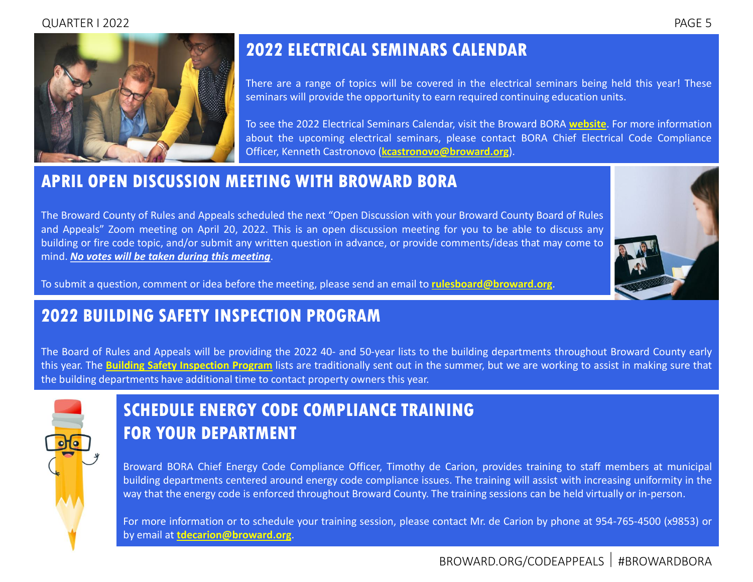#### QUARTER I 2022 PAGE 5

<span id="page-4-0"></span>

### **2022 ELECTRICAL SEMINARS CALENDAR**

There are a range of topics will be covered in the electrical seminars being held this year! These seminars will provide the opportunity to earn required continuing education units.

To see the 2022 Electrical Seminars Calendar, visit the Broward BORA **[website](https://www.broward.org/CodeAppeals/Documents/2022%20CALENDAR%20OF%20ELECTRICAL%20SEMINARS.pdf)**. For more information about the upcoming electrical seminars, please contact BORA Chief Electrical Code Compliance Officer, Kenneth Castronovo (**[kcastronovo@broward.org](mailto:kcastronovo@broward.org)**).

### **APRIL OPEN DISCUSSION MEETING WITH BROWARD BORA**

The Broward County of Rules and Appeals scheduled the next "Open Discussion with your Broward County Board of Rules and Appeals" Zoom meeting on April 20, 2022. This is an open discussion meeting for you to be able to discuss any building or fire code topic, and/or submit any written question in advance, or provide comments/ideas that may come to mind. *No votes will be taken during this meeting*.



To submit a question, comment or idea before the meeting, please send an email to **[rulesboard@broward.org](mailto:rulesboard@broward.org)**.

### **2022 BUILDING SAFETY INSPECTION PROGRAM**

The Board of Rules and Appeals will be providing the 2022 40- and 50-year lists to the building departments throughout Broward County early this year. The **Building Safety [Inspection](https://www.broward.org/CodeAppeals/Pages/SafetyInspectionProgram.aspx) Program** lists are traditionally sent out in the summer, but we are working to assist in making sure that the building departments have additional time to contact property owners this year.



### **SCHEDULE ENERGY CODE COMPLIANCE TRAINING FOR YOUR DEPARTMENT**

Broward BORA Chief Energy Code Compliance Officer, Timothy de Carion, provides training to staff members at municipal building departments centered around energy code compliance issues. The training will assist with increasing uniformity in the way that the energy code is enforced throughout Broward County. The training sessions can be held virtually or in-person.

For more information or to schedule your training session, please contact Mr. de Carion by phone at 954-765-4500 (x9853) or by email at **[tdecarion@broward.org](mailto:tdecarion@broward.org)**.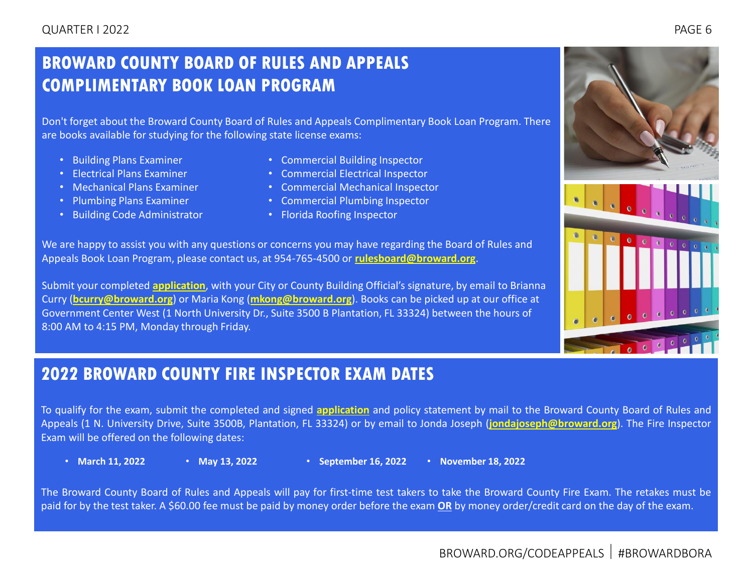### <span id="page-5-0"></span>**BROWARD COUNTY BOARD OF RULES AND APPEALS COMPLIMENTARY BOOK LOAN PROGRAM**

Don't forget about the Broward County Board of Rules and Appeals Complimentary Book Loan Program. There are books available for studying for the following state license exams:

- Building Plans Examiner
- Electrical Plans Examiner
- Mechanical Plans Examiner
- Plumbing Plans Examiner
- Building Code Administrator
- Commercial Building Inspector
- Commercial Electrical Inspector
- Commercial Mechanical Inspector
- Commercial Plumbing Inspector
- Florida Roofing Inspector

We are happy to assist you with any questions or concerns you may have regarding the Board of Rules and Appeals Book Loan Program, please contact us, at 954-765-4500 or **[rulesboard@broward.org](mailto:rulesboard@broward.org)**.

Submit your completed **[application](https://www.broward.org/CodeAppeals/Pages/educationalSeminar.aspx)**, with your City or County Building Official's signature, by email to Brianna Curry (**[bcurry@broward.org](mailto:bcurry@broward.org)**) or Maria Kong (**[mkong@broward.org](mailto:mkong@broward.org)**). Books can be picked up at our office at Government Center West (1 North University Dr., Suite 3500 B Plantation, FL 33324) between the hours of 8:00 AM to 4:15 PM, Monday through Friday.

### **2022 BROWARD COUNTY FIRE INSPECTOR EXAM DATES**

To qualify for the exam, submit the completed and signed **[application](https://www.broward.org/CodeAppeals/Pages/inspectorQualification.aspx)** and policy statement by mail to the Broward County Board of Rules and Appeals (1 N. University Drive, Suite 3500B, Plantation, FL 33324) or by email to Jonda Joseph (**[jondajoseph@broward.org](mailto:jondajoseph@broward.org)**). The Fire Inspector Exam will be offered on the following dates:

- 
- 
- **March 11, 2022 May 13, 2022 September 16, 2022 November 18, 2022**

The Broward County Board of Rules and Appeals will pay for first-time test takers to take the Broward County Fire Exam. The retakes must be paid for by the test taker. A \$60.00 fee must be paid by money order before the exam **OR** by money order/credit card on the day of the exam.